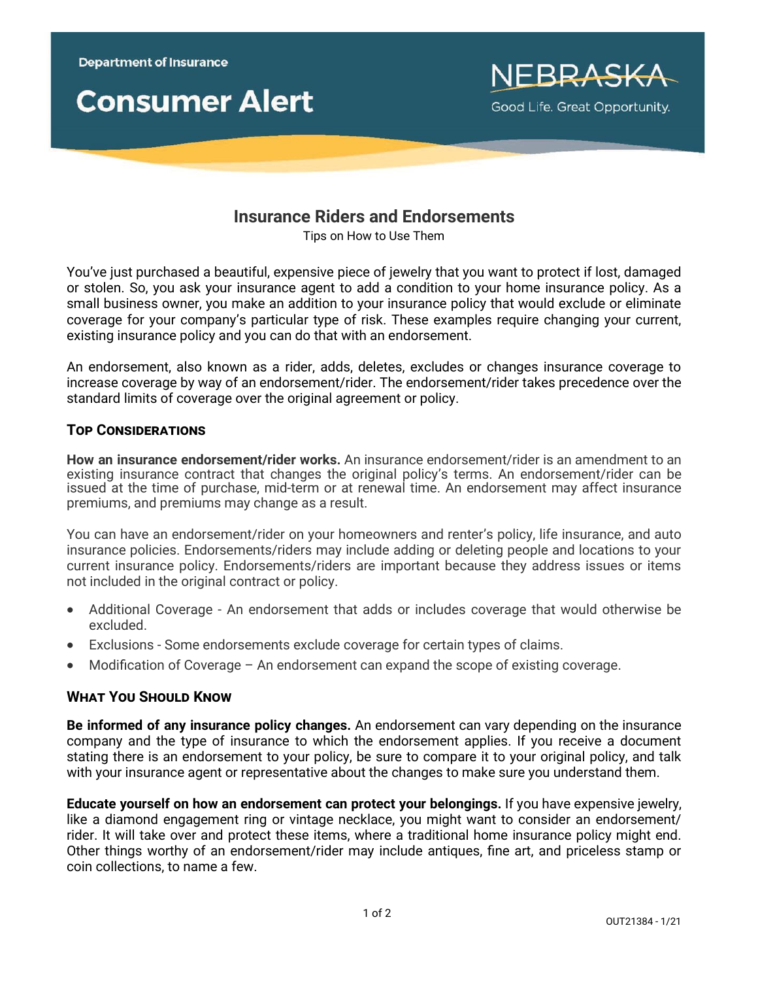



# **Insurance Riders and Endorsements**

Tips on How to Use Them

You've just purchased a beautiful, expensive piece of jewelry that you want to protect if lost, damaged or stolen. So, you ask your insurance agent to add a condition to your home insurance policy. As a small business owner, you make an addition to your insurance policy that would exclude or eliminate coverage for your company's particular type of risk. These examples require changing your current, existing insurance policy and you can do that with an endorsement.

An endorsement, also known as a rider, adds, deletes, excludes or changes insurance coverage to increase coverage by way of an endorsement/rider. The endorsement/rider takes precedence over the standard limits of coverage over the original agreement or policy.

#### **Top Considerations**

**How an insurance endorsement/rider works.** An insurance endorsement/rider is an amendment to an existing insurance contract that changes the original policy's terms. An endorsement/rider can be issued at the time of purchase, mid-term or at renewal time. An endorsement may affect insurance premiums, and premiums may change as a result.

You can have an endorsement/rider on your homeowners and renter's policy, life insurance, and auto insurance policies. Endorsements/riders may include adding or deleting people and locations to your current insurance policy. Endorsements/riders are important because they address issues or items not included in the original contract or policy.

- Additional Coverage An endorsement that adds or includes coverage that would otherwise be excluded.
- Exclusions Some endorsements exclude coverage for certain types of claims.
- Modification of Coverage An endorsement can expand the scope of existing coverage.

#### **What You Should Know**

**Be informed of any insurance policy changes.** An endorsement can vary depending on the insurance company and the type of insurance to which the endorsement applies. If you receive a document stating there is an endorsement to your policy, be sure to compare it to your original policy, and talk with your insurance agent or representative about the changes to make sure you understand them.

**Educate yourself on how an endorsement can protect your belongings.** If you have expensive jewelry, like a diamond engagement ring or vintage necklace, you might want to consider an endorsement/ rider. It will take over and protect these items, where a traditional home insurance policy might end. Other things worthy of an endorsement/rider may include antiques, fine art, and priceless stamp or coin collections, to name a few.